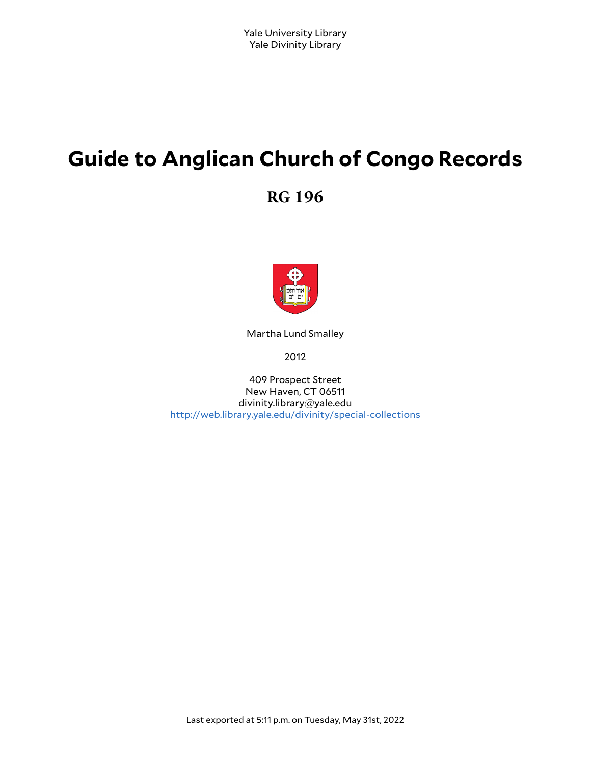# **Guide to Anglican Church of Congo Records**

**RG 196**



Martha Lund Smalley

2012

409 Prospect Street New Haven, CT 06511 divinity.library@yale.edu <http://web.library.yale.edu/divinity/special-collections>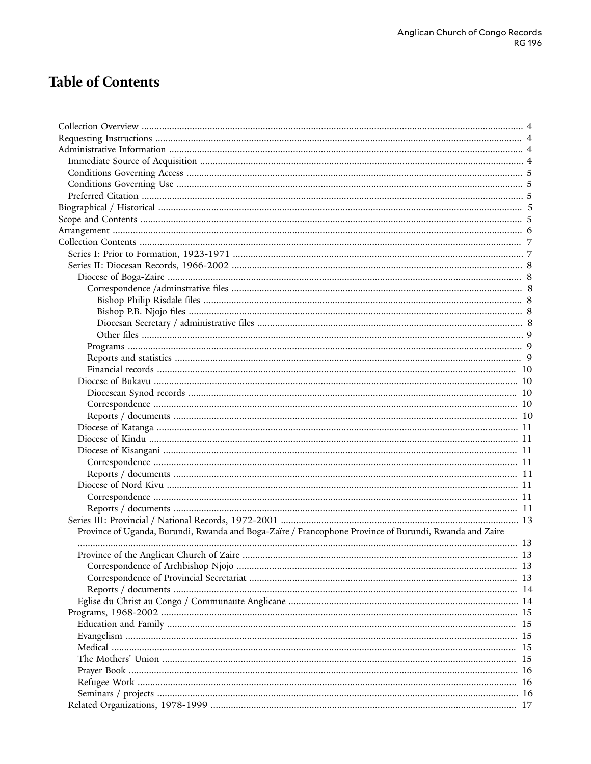# **Table of Contents**

| Province of Uganda, Burundi, Rwanda and Boga-Zaïre / Francophone Province of Burundi, Rwanda and Zaire |     |
|--------------------------------------------------------------------------------------------------------|-----|
|                                                                                                        | 13  |
|                                                                                                        |     |
|                                                                                                        |     |
|                                                                                                        |     |
|                                                                                                        |     |
|                                                                                                        |     |
|                                                                                                        |     |
|                                                                                                        | -15 |
|                                                                                                        | -15 |
|                                                                                                        | -15 |
|                                                                                                        | -15 |
|                                                                                                        |     |
|                                                                                                        |     |
|                                                                                                        |     |
|                                                                                                        |     |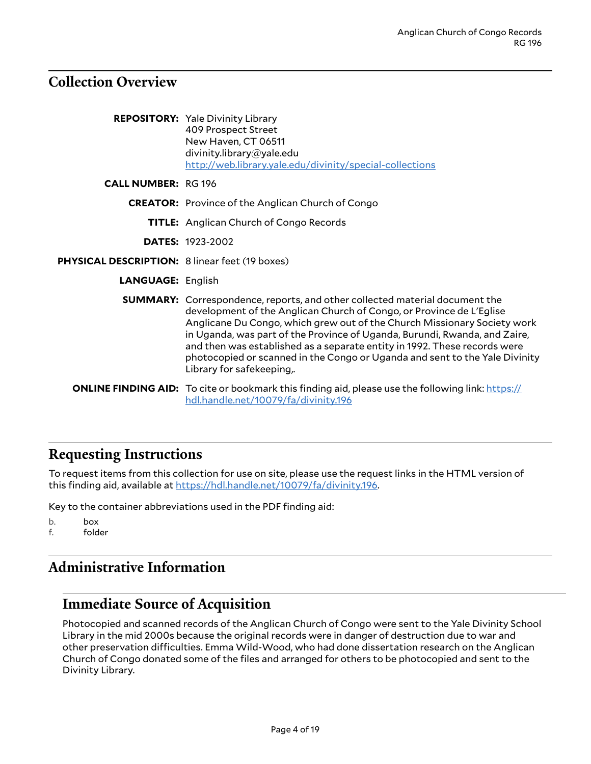### <span id="page-3-0"></span>**Collection Overview**

|                                                | <b>REPOSITORY:</b> Yale Divinity Library<br>409 Prospect Street<br>New Haven, CT 06511<br>divinity.library@yale.edu<br>http://web.library.yale.edu/divinity/special-collections                                                                                                                                                                                                                                                                                                                               |
|------------------------------------------------|---------------------------------------------------------------------------------------------------------------------------------------------------------------------------------------------------------------------------------------------------------------------------------------------------------------------------------------------------------------------------------------------------------------------------------------------------------------------------------------------------------------|
| <b>CALL NUMBER: RG 196</b>                     |                                                                                                                                                                                                                                                                                                                                                                                                                                                                                                               |
|                                                | <b>CREATOR:</b> Province of the Anglican Church of Congo                                                                                                                                                                                                                                                                                                                                                                                                                                                      |
|                                                | TITLE: Anglican Church of Congo Records                                                                                                                                                                                                                                                                                                                                                                                                                                                                       |
|                                                | <b>DATES: 1923-2002</b>                                                                                                                                                                                                                                                                                                                                                                                                                                                                                       |
| PHYSICAL DESCRIPTION: 8 linear feet (19 boxes) |                                                                                                                                                                                                                                                                                                                                                                                                                                                                                                               |
| <b>LANGUAGE: English</b>                       |                                                                                                                                                                                                                                                                                                                                                                                                                                                                                                               |
|                                                | <b>SUMMARY:</b> Correspondence, reports, and other collected material document the<br>development of the Anglican Church of Congo, or Province de L'Eglise<br>Anglicane Du Congo, which grew out of the Church Missionary Society work<br>in Uganda, was part of the Province of Uganda, Burundi, Rwanda, and Zaire,<br>and then was established as a separate entity in 1992. These records were<br>photocopied or scanned in the Congo or Uganda and sent to the Yale Divinity<br>Library for safekeeping,. |
|                                                | <b>ONLINE FINDING AID:</b> To cite or bookmark this finding aid, please use the following link: https://<br>hdl.handle.net/10079/fa/divinity.196                                                                                                                                                                                                                                                                                                                                                              |

### <span id="page-3-1"></span>**Requesting Instructions**

To request items from this collection for use on site, please use the request links in the HTML version of this finding aid, available at <https://hdl.handle.net/10079/fa/divinity.196>.

Key to the container abbreviations used in the PDF finding aid:

b. box f. folder

### <span id="page-3-2"></span>**Administrative Information**

### <span id="page-3-3"></span>**Immediate Source of Acquisition**

Photocopied and scanned records of the Anglican Church of Congo were sent to the Yale Divinity School Library in the mid 2000s because the original records were in danger of destruction due to war and other preservation difficulties. Emma Wild-Wood, who had done dissertation research on the Anglican Church of Congo donated some of the files and arranged for others to be photocopied and sent to the Divinity Library.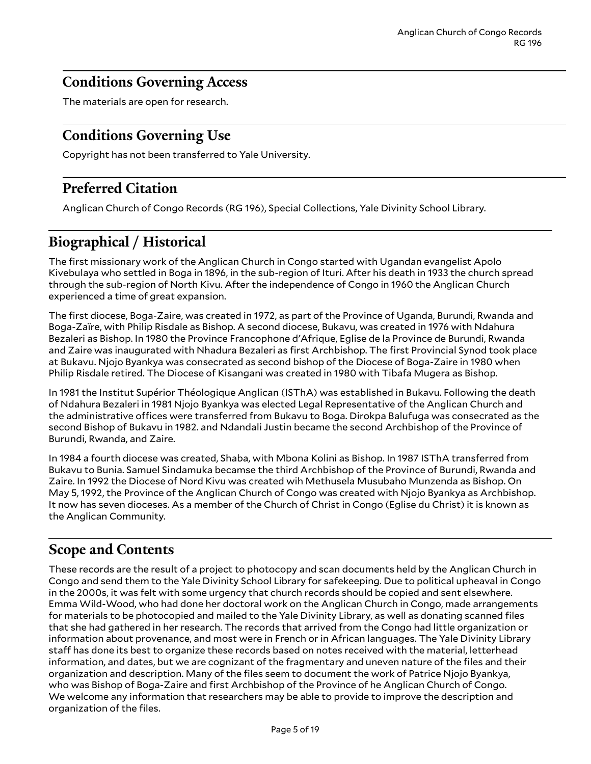### <span id="page-4-0"></span>**Conditions Governing Access**

The materials are open for research.

### <span id="page-4-1"></span>**Conditions Governing Use**

Copyright has not been transferred to Yale University.

## <span id="page-4-2"></span>**Preferred Citation**

Anglican Church of Congo Records (RG 196), Special Collections, Yale Divinity School Library.

# <span id="page-4-3"></span>**Biographical / Historical**

The first missionary work of the Anglican Church in Congo started with Ugandan evangelist Apolo Kivebulaya who settled in Boga in 1896, in the sub-region of Ituri. After his death in 1933 the church spread through the sub-region of North Kivu. After the independence of Congo in 1960 the Anglican Church experienced a time of great expansion.

The first diocese, Boga-Zaire, was created in 1972, as part of the Province of Uganda, Burundi, Rwanda and Boga-Zaïre, with Philip Risdale as Bishop. A second diocese, Bukavu, was created in 1976 with Ndahura Bezaleri as Bishop. In 1980 the Province Francophone d'Afrique, Eglise de la Province de Burundi, Rwanda and Zaire was inaugurated with Nhadura Bezaleri as first Archbishop. The first Provincial Synod took place at Bukavu. Njojo Byankya was consecrated as second bishop of the Diocese of Boga-Zaire in 1980 when Philip Risdale retired. The Diocese of Kisangani was created in 1980 with Tibafa Mugera as Bishop.

In 1981 the Institut Supérior Théologique Anglican (ISThA) was established in Bukavu. Following the death of Ndahura Bezaleri in 1981 Njojo Byankya was elected Legal Representative of the Anglican Church and the administrative offices were transferred from Bukavu to Boga. Dirokpa Balufuga was consecrated as the second Bishop of Bukavu in 1982. and Ndandali Justin became the second Archbishop of the Province of Burundi, Rwanda, and Zaire.

In 1984 a fourth diocese was created, Shaba, with Mbona Kolini as Bishop. In 1987 ISThA transferred from Bukavu to Bunia. Samuel Sindamuka becamse the third Archbishop of the Province of Burundi, Rwanda and Zaire. In 1992 the Diocese of Nord Kivu was created wih Methusela Musubaho Munzenda as Bishop. On May 5, 1992, the Province of the Anglican Church of Congo was created with Njojo Byankya as Archbishop. It now has seven dioceses. As a member of the Church of Christ in Congo (Eglise du Christ) it is known as the Anglican Community.

### <span id="page-4-4"></span>**Scope and Contents**

These records are the result of a project to photocopy and scan documents held by the Anglican Church in Congo and send them to the Yale Divinity School Library for safekeeping. Due to political upheaval in Congo in the 2000s, it was felt with some urgency that church records should be copied and sent elsewhere. Emma Wild-Wood, who had done her doctoral work on the Anglican Church in Congo, made arrangements for materials to be photocopied and mailed to the Yale Divinity Library, as well as donating scanned files that she had gathered in her research. The records that arrived from the Congo had little organization or information about provenance, and most were in French or in African languages. The Yale Divinity Library staff has done its best to organize these records based on notes received with the material, letterhead information, and dates, but we are cognizant of the fragmentary and uneven nature of the files and their organization and description. Many of the files seem to document the work of Patrice Njojo Byankya, who was Bishop of Boga-Zaire and first Archbishop of the Province of he Anglican Church of Congo. We welcome any information that researchers may be able to provide to improve the description and organization of the files.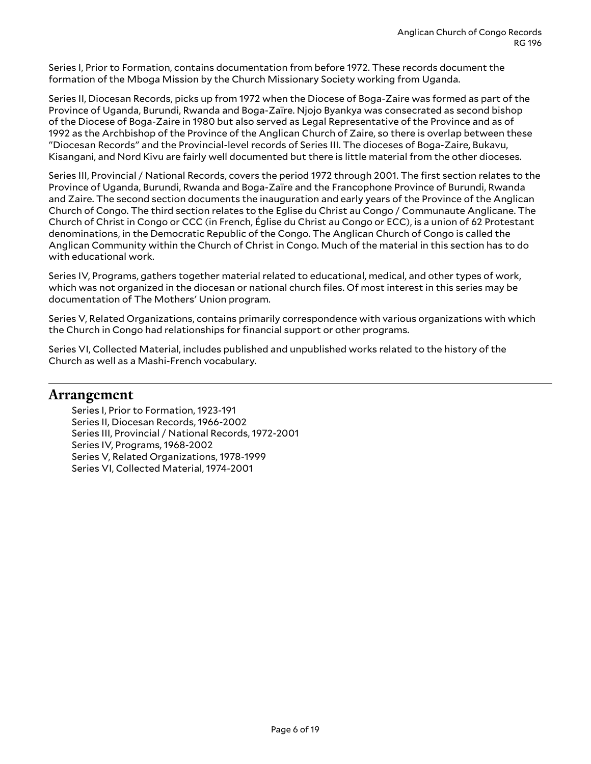Series I, Prior to Formation, contains documentation from before 1972. These records document the formation of the Mboga Mission by the Church Missionary Society working from Uganda.

Series II, Diocesan Records, picks up from 1972 when the Diocese of Boga-Zaire was formed as part of the Province of Uganda, Burundi, Rwanda and Boga-Zaïre. Njojo Byankya was consecrated as second bishop of the Diocese of Boga-Zaire in 1980 but also served as Legal Representative of the Province and as of 1992 as the Archbishop of the Province of the Anglican Church of Zaire, so there is overlap between these "Diocesan Records" and the Provincial-level records of Series III. The dioceses of Boga-Zaire, Bukavu, Kisangani, and Nord Kivu are fairly well documented but there is little material from the other dioceses.

Series III, Provincial / National Records, covers the period 1972 through 2001. The first section relates to the Province of Uganda, Burundi, Rwanda and Boga-Zaïre and the Francophone Province of Burundi, Rwanda and Zaire. The second section documents the inauguration and early years of the Province of the Anglican Church of Congo. The third section relates to the Eglise du Christ au Congo / Communaute Anglicane. The Church of Christ in Congo or CCC (in French, Église du Christ au Congo or ECC), is a union of 62 Protestant denominations, in the Democratic Republic of the Congo. The Anglican Church of Congo is called the Anglican Community within the Church of Christ in Congo. Much of the material in this section has to do with educational work.

Series IV, Programs, gathers together material related to educational, medical, and other types of work, which was not organized in the diocesan or national church files. Of most interest in this series may be documentation of The Mothers' Union program.

Series V, Related Organizations, contains primarily correspondence with various organizations with which the Church in Congo had relationships for financial support or other programs.

Series VI, Collected Material, includes published and unpublished works related to the history of the Church as well as a Mashi-French vocabulary.

### <span id="page-5-0"></span>**Arrangement**

Series I, Prior to Formation, 1923-191 Series II, Diocesan Records, 1966-2002 Series III, Provincial / National Records, 1972-2001 Series IV, Programs, 1968-2002 Series V, Related Organizations, 1978-1999 Series VI, Collected Material, 1974-2001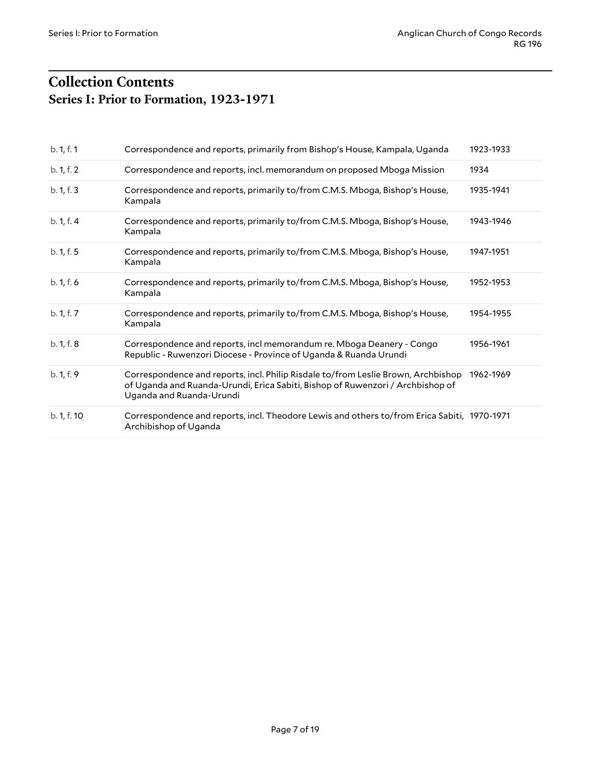# <span id="page-6-1"></span><span id="page-6-0"></span>**Collection Contents Series I: Prior to Formation, 1923-1971**

| b. 1, f. 1  | Correspondence and reports, primarily from Bishop's House, Kampala, Uganda                                                                                                                      | 1923-1933 |
|-------------|-------------------------------------------------------------------------------------------------------------------------------------------------------------------------------------------------|-----------|
| b. 1, f. 2  | Correspondence and reports, incl. memorandum on proposed Mboga Mission                                                                                                                          | 1934      |
| b. 1, f. 3  | Correspondence and reports, primarily to/from C.M.S. Mboga, Bishop's House,<br>Kampala                                                                                                          | 1935-1941 |
| b. 1, f. 4  | Correspondence and reports, primarily to/from C.M.S. Mboga, Bishop's House,<br>Kampala                                                                                                          | 1943-1946 |
| b. 1, f. 5  | Correspondence and reports, primarily to/from C.M.S. Mboga, Bishop's House,<br>Kampala                                                                                                          | 1947-1951 |
| b. 1, f. 6  | Correspondence and reports, primarily to/from C.M.S. Mboga, Bishop's House,<br>Kampala                                                                                                          | 1952-1953 |
| b. 1, f. 7  | Correspondence and reports, primarily to/from C.M.S. Mboga, Bishop's House,<br>Kampala                                                                                                          | 1954-1955 |
| b. 1, f. 8  | Correspondence and reports, incl memorandum re. Mboga Deanery - Congo<br>Republic - Ruwenzori Diocese - Province of Uganda & Ruanda Urundi                                                      | 1956-1961 |
| b. 1, f. 9  | Correspondence and reports, incl. Philip Risdale to/from Leslie Brown, Archbishop<br>of Uganda and Ruanda-Urundi, Erica Sabiti, Bishop of Ruwenzori / Archbishop of<br>Uganda and Ruanda-Urundi | 1962-1969 |
| b. 1, f. 10 | Correspondence and reports, incl. Theodore Lewis and others to/from Erica Sabiti, 1970-1971<br>Archibishop of Uganda                                                                            |           |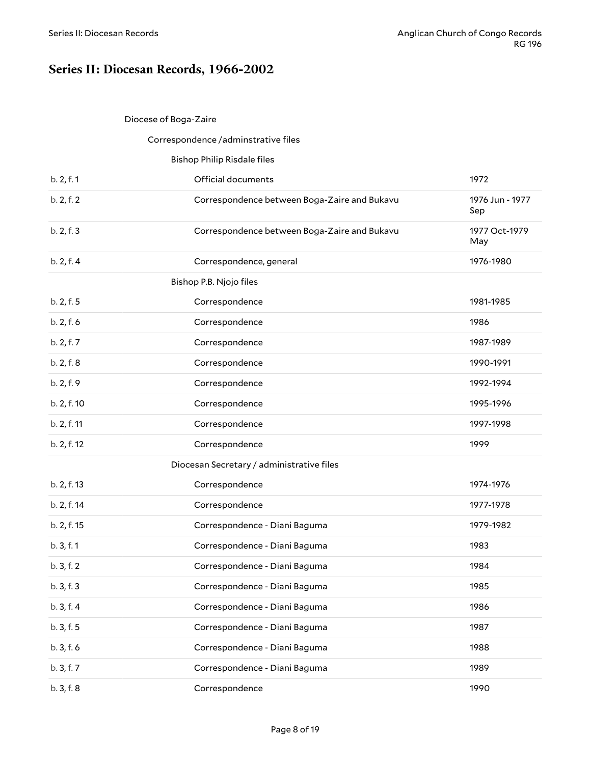### <span id="page-7-0"></span>**Series II: Diocesan Records, 1966-2002**

#### <span id="page-7-1"></span>Diocese of Boga-Zaire

#### <span id="page-7-4"></span><span id="page-7-3"></span><span id="page-7-2"></span>Correspondence /adminstrative files

<span id="page-7-5"></span>

|             | <b>Bishop Philip Risdale files</b>           |                        |
|-------------|----------------------------------------------|------------------------|
| b. 2, f. 1  | Official documents                           | 1972                   |
| b. 2, f. 2  | Correspondence between Boga-Zaire and Bukavu | 1976 Jun - 1977<br>Sep |
| b. 2, f. 3  | Correspondence between Boga-Zaire and Bukavu | 1977 Oct-1979<br>May   |
| b. 2, f. 4  | Correspondence, general                      | 1976-1980              |
|             | Bishop P.B. Njojo files                      |                        |
| b. 2, f. 5  | Correspondence                               | 1981-1985              |
| b. 2, f. 6  | Correspondence                               | 1986                   |
| b. 2, f. 7  | Correspondence                               | 1987-1989              |
| b. 2, f. 8  | Correspondence                               | 1990-1991              |
| b. 2, f. 9  | Correspondence                               | 1992-1994              |
| b. 2, f. 10 | Correspondence                               | 1995-1996              |
| b. 2, f. 11 | Correspondence                               | 1997-1998              |
| b. 2, f. 12 | Correspondence                               | 1999                   |
|             | Diocesan Secretary / administrative files    |                        |
| b. 2, f. 13 | Correspondence                               | 1974-1976              |
| b. 2, f. 14 | Correspondence                               | 1977-1978              |
| b. 2, f. 15 | Correspondence - Diani Baguma                | 1979-1982              |
| b.3, f.1    | Correspondence - Diani Baguma                | 1983                   |
| b. 3, f. 2  | Correspondence - Diani Baguma                | 1984                   |
| b. 3, f. 3  | Correspondence - Diani Baguma                | 1985                   |
| b. 3, f. 4  | Correspondence - Diani Baguma                | 1986                   |
| b. 3, f. 5  | Correspondence - Diani Baguma                | 1987                   |
| b.3, f.6    | Correspondence - Diani Baguma                | 1988                   |
| b. 3, f. 7  | Correspondence - Diani Baguma                | 1989                   |
| b. 3, f. 8  | Correspondence                               | 1990                   |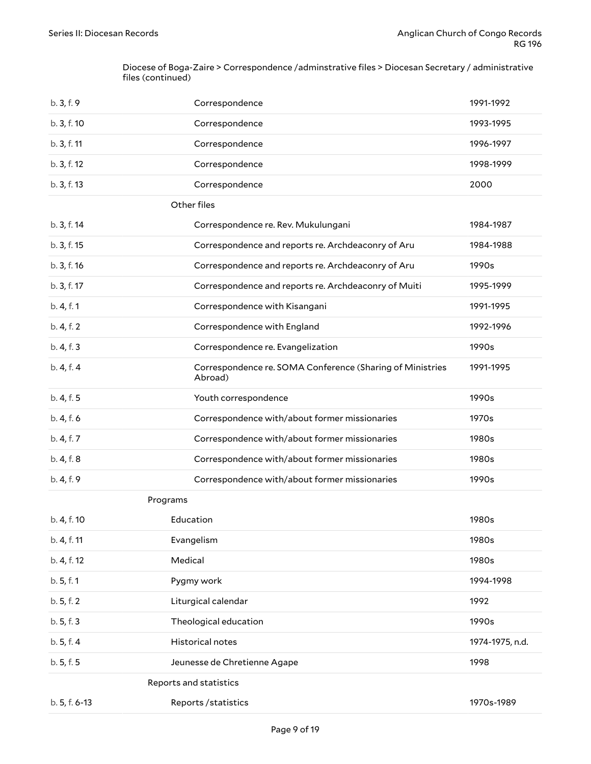Diocese of Boga-Zaire > Correspondence /adminstrative files > Diocesan Secretary / administrative files (continued)

<span id="page-8-2"></span><span id="page-8-1"></span><span id="page-8-0"></span>

| b.3, f.9      | Correspondence                                                       | 1991-1992       |
|---------------|----------------------------------------------------------------------|-----------------|
| b. 3, f. 10   | Correspondence                                                       | 1993-1995       |
| b. 3, f. 11   | Correspondence                                                       | 1996-1997       |
| b. 3, f. 12   | Correspondence                                                       | 1998-1999       |
| b. 3, f. 13   | Correspondence                                                       | 2000            |
|               | Other files                                                          |                 |
| b. 3, f. 14   | Correspondence re. Rev. Mukulungani                                  | 1984-1987       |
| b. 3, f. 15   | Correspondence and reports re. Archdeaconry of Aru                   | 1984-1988       |
| b. 3, f. 16   | Correspondence and reports re. Archdeaconry of Aru                   | 1990s           |
| b. 3, f. 17   | Correspondence and reports re. Archdeaconry of Muiti                 | 1995-1999       |
| b. 4, f. 1    | Correspondence with Kisangani                                        | 1991-1995       |
| b. 4, f. 2    | Correspondence with England                                          | 1992-1996       |
| b. 4, f. 3    | Correspondence re. Evangelization                                    | 1990s           |
| b. 4, f. 4    | Correspondence re. SOMA Conference (Sharing of Ministries<br>Abroad) | 1991-1995       |
| b. 4, f. 5    | Youth correspondence                                                 | 1990s           |
| b. 4, f. 6    | Correspondence with/about former missionaries                        | 1970s           |
| b. 4, f. 7    | Correspondence with/about former missionaries                        | 1980s           |
| b. 4, f. 8    | Correspondence with/about former missionaries                        | 1980s           |
| b. 4, f. 9    | Correspondence with/about former missionaries                        | 1990s           |
|               | Programs                                                             |                 |
| b. 4, f. 10   | Education                                                            | 1980s           |
| b. 4, f. 11   | Evangelism                                                           | 1980s           |
| b. 4, f. 12   | Medical                                                              | 1980s           |
| b. 5, f. 1    | Pygmy work                                                           | 1994-1998       |
| b.5, f.2      | Liturgical calendar                                                  | 1992            |
| b. 5, f. 3    | Theological education                                                | 1990s           |
| b.5, f.4      | Historical notes                                                     | 1974-1975, n.d. |
| b. 5, f. 5    | Jeunesse de Chretienne Agape                                         | 1998            |
|               | Reports and statistics                                               |                 |
| b. 5, f. 6-13 | Reports/statistics                                                   | 1970s-1989      |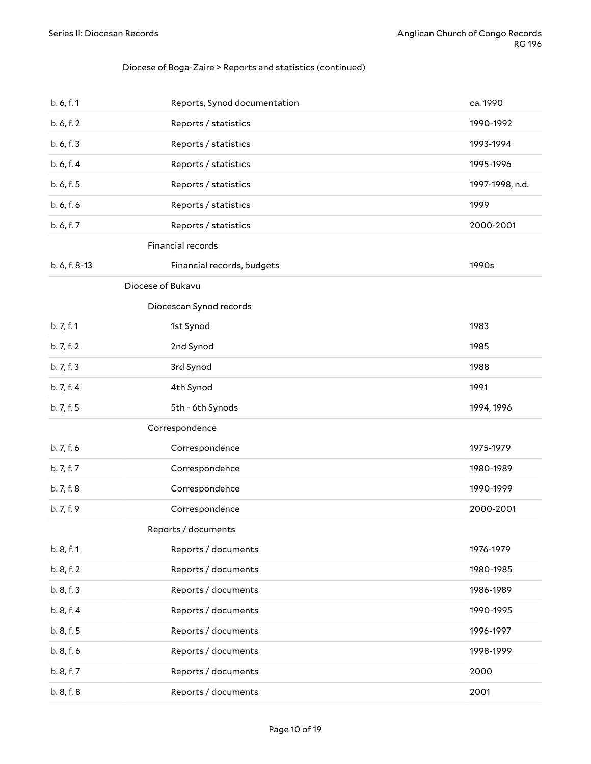### Diocese of Boga-Zaire > Reports and statistics (continued)

<span id="page-9-4"></span><span id="page-9-3"></span><span id="page-9-2"></span><span id="page-9-1"></span><span id="page-9-0"></span>

| b. 6, f. 1    | Reports, Synod documentation | ca. 1990        |
|---------------|------------------------------|-----------------|
| b. 6, f. 2    | Reports / statistics         | 1990-1992       |
| b. 6, f. 3    | Reports / statistics         | 1993-1994       |
| b. 6, f. 4    | Reports / statistics         | 1995-1996       |
| b. 6, f. 5    | Reports / statistics         | 1997-1998, n.d. |
| b. 6, f. 6    | Reports / statistics         | 1999            |
| b. 6, f. 7    | Reports / statistics         | 2000-2001       |
|               | Financial records            |                 |
| b. 6, f. 8-13 | Financial records, budgets   | 1990s           |
|               | Diocese of Bukavu            |                 |
|               | Diocescan Synod records      |                 |
| b. 7, f. 1    | 1st Synod                    | 1983            |
| b. 7, f. 2    | 2nd Synod                    | 1985            |
| b. 7, f. 3    | 3rd Synod                    | 1988            |
| b. 7, f. 4    | 4th Synod                    | 1991            |
|               |                              |                 |
| b. 7, f. 5    | 5th - 6th Synods             | 1994, 1996      |
|               | Correspondence               |                 |
| b. 7, f. 6    | Correspondence               | 1975-1979       |
| b. 7, f. 7    | Correspondence               | 1980-1989       |
| b. 7, f. 8    | Correspondence               | 1990-1999       |
| b. 7, f. 9    | Correspondence               | 2000-2001       |
|               | Reports / documents          |                 |
| b. 8, f. 1    | Reports / documents          | 1976-1979       |
| b. 8, f. 2    | Reports / documents          | 1980-1985       |
| b. 8, f. 3    | Reports / documents          | 1986-1989       |
| b. 8, f. 4    | Reports / documents          | 1990-1995       |
| b. 8, f. 5    | Reports / documents          | 1996-1997       |
| b. 8, f. 6    | Reports / documents          | 1998-1999       |
| b. 8, f. 7    | Reports / documents          | 2000            |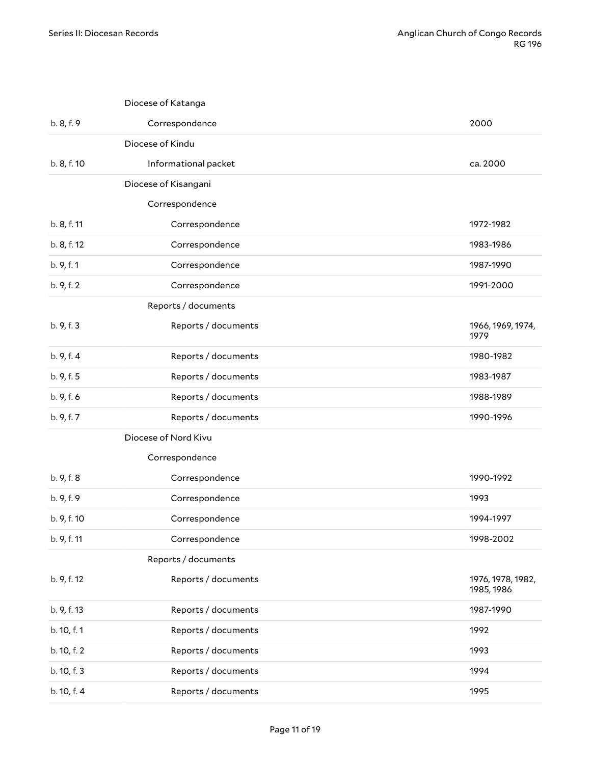<span id="page-10-7"></span><span id="page-10-6"></span><span id="page-10-5"></span><span id="page-10-4"></span><span id="page-10-3"></span><span id="page-10-2"></span><span id="page-10-1"></span><span id="page-10-0"></span>

|             | Diocese of Katanga   |                                 |
|-------------|----------------------|---------------------------------|
| b. 8, f. 9  | Correspondence       | 2000                            |
|             | Diocese of Kindu     |                                 |
| b. 8, f. 10 | Informational packet | ca. 2000                        |
|             | Diocese of Kisangani |                                 |
|             | Correspondence       |                                 |
| b. 8, f. 11 | Correspondence       | 1972-1982                       |
| b. 8, f. 12 | Correspondence       | 1983-1986                       |
| b. 9, f. 1  | Correspondence       | 1987-1990                       |
| b. 9, f. 2  | Correspondence       | 1991-2000                       |
|             | Reports / documents  |                                 |
| b. 9, f. 3  | Reports / documents  | 1966, 1969, 1974,<br>1979       |
| b. 9, f. 4  | Reports / documents  | 1980-1982                       |
| b. 9, f. 5  | Reports / documents  | 1983-1987                       |
| b. 9, f. 6  | Reports / documents  | 1988-1989                       |
| b. 9, f. 7  | Reports / documents  | 1990-1996                       |
|             | Diocese of Nord Kivu |                                 |
|             | Correspondence       |                                 |
| b. 9, f. 8  | Correspondence       | 1990-1992                       |
| b. 9, f. 9  | Correspondence       | 1993                            |
| b. 9, f. 10 | Correspondence       | 1994-1997                       |
| b. 9, f. 11 | Correspondence       | 1998-2002                       |
|             | Reports / documents  |                                 |
| b. 9, f. 12 | Reports / documents  | 1976, 1978, 1982,<br>1985, 1986 |
| b. 9, f. 13 | Reports / documents  | 1987-1990                       |
| b. 10, f. 1 | Reports / documents  | 1992                            |
| b. 10, f. 2 | Reports / documents  | 1993                            |
| b. 10, f. 3 | Reports / documents  | 1994                            |
| b. 10, f. 4 | Reports / documents  | 1995                            |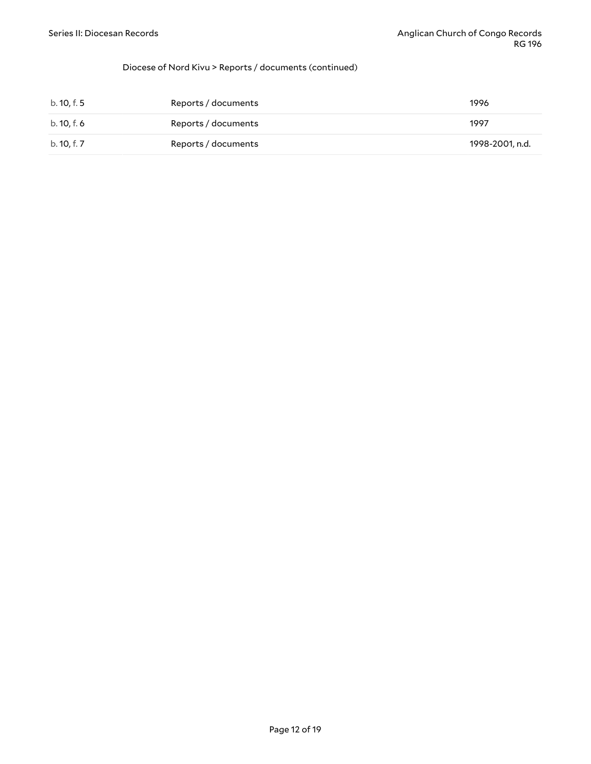#### Diocese of Nord Kivu > Reports / documents (continued)

| b. 10, f. 5 | Reports / documents | 1996            |
|-------------|---------------------|-----------------|
| b. 10, f. 6 | Reports / documents | 1997            |
| b. 10, f. 7 | Reports / documents | 1998-2001, n.d. |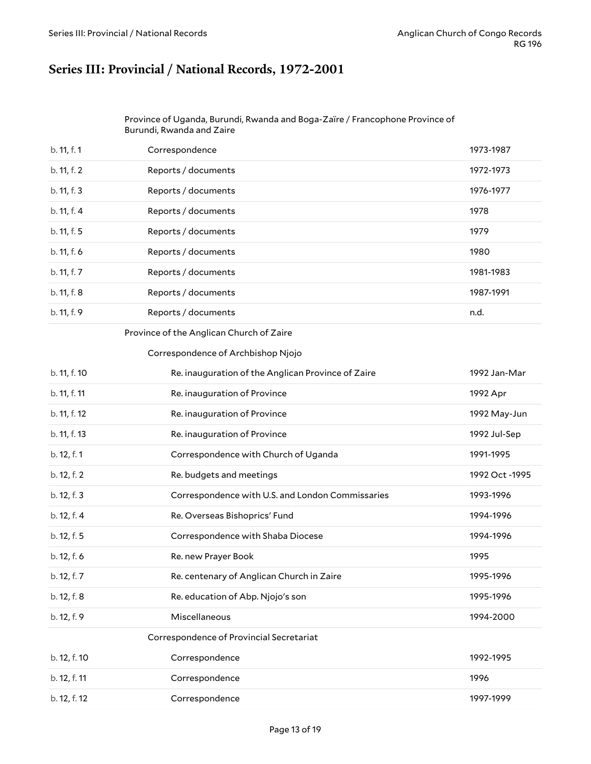### <span id="page-12-0"></span>**Series III: Provincial / National Records, 1972-2001**

<span id="page-12-1"></span>

| Province of Uganda, Burundi, Rwanda and Boga-Zaïre / Francophone Province of |
|------------------------------------------------------------------------------|
| Burundi, Rwanda and Zaire                                                    |

| b. 11, f. 1 | Correspondence      | 1973-1987 |
|-------------|---------------------|-----------|
| b. 11, f. 2 | Reports / documents | 1972-1973 |
| b. 11, f. 3 | Reports / documents | 1976-1977 |
| b. 11, f. 4 | Reports / documents | 1978      |
| b. 11, f. 5 | Reports / documents | 1979      |
| b. 11, f. 6 | Reports / documents | 1980      |
| b. 11, f. 7 | Reports / documents | 1981-1983 |
| b. 11, f. 8 | Reports / documents | 1987-1991 |
| b. 11, f. 9 | Reports / documents | n.d.      |
|             |                     |           |

#### <span id="page-12-2"></span>Province of the Anglican Church of Zaire

#### <span id="page-12-3"></span>Correspondence of Archbishop Njojo

<span id="page-12-4"></span>

| b. 11, f. 10 | Re. inauguration of the Anglican Province of Zaire | 1992 Jan-Mar   |
|--------------|----------------------------------------------------|----------------|
| b. 11, f. 11 | Re. inauguration of Province                       | 1992 Apr       |
| b. 11, f. 12 | Re. inauguration of Province                       | 1992 May-Jun   |
| b. 11, f. 13 | Re. inauguration of Province                       | 1992 Jul-Sep   |
| b. 12, f. 1  | Correspondence with Church of Uganda               | 1991-1995      |
| b. 12, f. 2  | Re. budgets and meetings                           | 1992 Oct -1995 |
| b. 12, f. 3  | Correspondence with U.S. and London Commissaries   | 1993-1996      |
| b. 12, f. 4  | Re. Overseas Bishoprics' Fund                      | 1994-1996      |
| b. 12, f. 5  | Correspondence with Shaba Diocese                  | 1994-1996      |
| b. 12, f. 6  | Re. new Prayer Book                                | 1995           |
| b. 12, f. 7  | Re. centenary of Anglican Church in Zaire          | 1995-1996      |
| b. 12, f. 8  | Re. education of Abp. Njojo's son                  | 1995-1996      |
| b. 12, f. 9  | Miscellaneous                                      | 1994-2000      |
|              | Correspondence of Provincial Secretariat           |                |
| b. 12, f. 10 | Correspondence                                     | 1992-1995      |
| b. 12, f. 11 | Correspondence                                     | 1996           |
| b. 12, f. 12 | Correspondence                                     | 1997-1999      |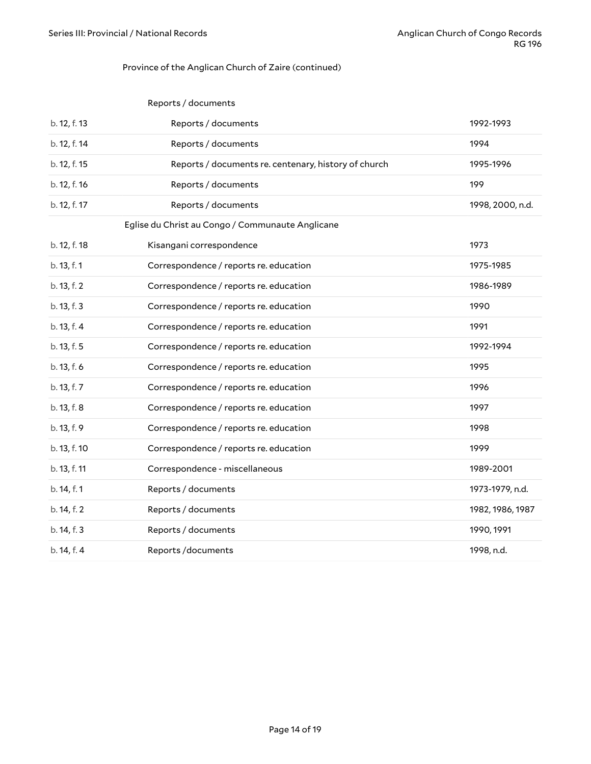#### <span id="page-13-0"></span>Province of the Anglican Church of Zaire (continued)

<span id="page-13-1"></span>

|              | Reports / documents                                  |                  |
|--------------|------------------------------------------------------|------------------|
| b. 12, f. 13 | Reports / documents                                  | 1992-1993        |
| b. 12, f. 14 | Reports / documents                                  | 1994             |
| b. 12, f. 15 | Reports / documents re. centenary, history of church | 1995-1996        |
| b. 12, f. 16 | Reports / documents                                  | 199              |
| b. 12, f. 17 | Reports / documents                                  | 1998, 2000, n.d. |
|              | Eglise du Christ au Congo / Communaute Anglicane     |                  |
| b. 12, f. 18 | Kisangani correspondence                             | 1973             |
| b. 13, f. 1  | Correspondence / reports re. education               | 1975-1985        |
| b. 13, f. 2  | Correspondence / reports re. education               | 1986-1989        |
| b. 13, f. 3  | Correspondence / reports re. education               | 1990             |
| b. 13, f. 4  | Correspondence / reports re. education               | 1991             |
| b. 13, f. 5  | Correspondence / reports re. education               | 1992-1994        |
| b. 13, f. 6  | Correspondence / reports re. education               | 1995             |
| b. 13, f. 7  | Correspondence / reports re. education               | 1996             |
| b. 13, f. 8  | Correspondence / reports re. education               | 1997             |
| b. 13, f. 9  | Correspondence / reports re. education               | 1998             |
| b. 13, f. 10 | Correspondence / reports re. education               | 1999             |
| b. 13, f. 11 | Correspondence - miscellaneous                       | 1989-2001        |
| b. 14, f. 1  | Reports / documents                                  | 1973-1979, n.d.  |
| b. 14, f. 2  | Reports / documents                                  | 1982, 1986, 1987 |
| b. 14, f. 3  | Reports / documents                                  | 1990, 1991       |
| b. 14, f. 4  | Reports/documents                                    | 1998, n.d.       |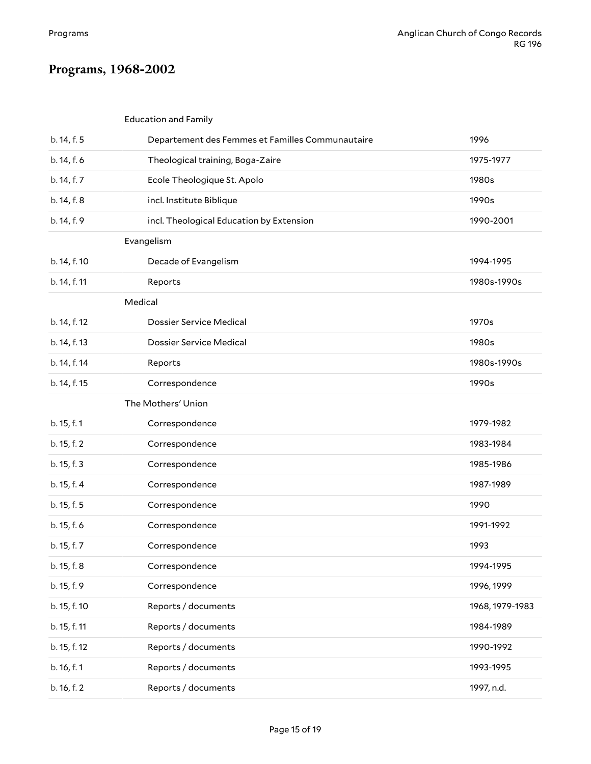# <span id="page-14-0"></span>**Programs, 1968-2002**

### <span id="page-14-2"></span><span id="page-14-1"></span>Education and Family

<span id="page-14-4"></span><span id="page-14-3"></span>

| b. 14, f. 5  | Departement des Femmes et Familles Communautaire | 1996            |
|--------------|--------------------------------------------------|-----------------|
| b. 14, f. 6  | Theological training, Boga-Zaire                 | 1975-1977       |
| b. 14, f. 7  | Ecole Theologique St. Apolo                      | 1980s           |
| b. 14, f. 8  | incl. Institute Biblique                         | 1990s           |
| b. 14, f. 9  | incl. Theological Education by Extension         | 1990-2001       |
| Evangelism   |                                                  |                 |
| b. 14, f. 10 | Decade of Evangelism                             | 1994-1995       |
| b. 14, f. 11 | Reports                                          | 1980s-1990s     |
|              | Medical                                          |                 |
| b. 14, f. 12 | <b>Dossier Service Medical</b>                   | 1970s           |
| b. 14, f. 13 | Dossier Service Medical                          | 1980s           |
| b. 14, f. 14 | Reports                                          | 1980s-1990s     |
| b. 14, f. 15 | Correspondence                                   | 1990s           |
|              | The Mothers' Union                               |                 |
| b. 15, f. 1  | Correspondence                                   | 1979-1982       |
| b. 15, f. 2  | Correspondence                                   | 1983-1984       |
| b. 15, f. 3  | Correspondence                                   | 1985-1986       |
| b. 15, f. 4  | Correspondence                                   | 1987-1989       |
| b. 15, f. 5  | Correspondence                                   | 1990            |
| b. 15, f. 6  | Correspondence                                   | 1991-1992       |
| b. 15, f. 7  | Correspondence                                   | 1993            |
| b. 15, f. 8  | Correspondence                                   | 1994-1995       |
| b. 15, f. 9  | Correspondence                                   | 1996, 1999      |
| b. 15, f. 10 | Reports / documents                              | 1968, 1979-1983 |
| b. 15, f. 11 | Reports / documents                              | 1984-1989       |
| b. 15, f. 12 | Reports / documents                              | 1990-1992       |
| b. 16, f. 1  | Reports / documents                              | 1993-1995       |
|              |                                                  |                 |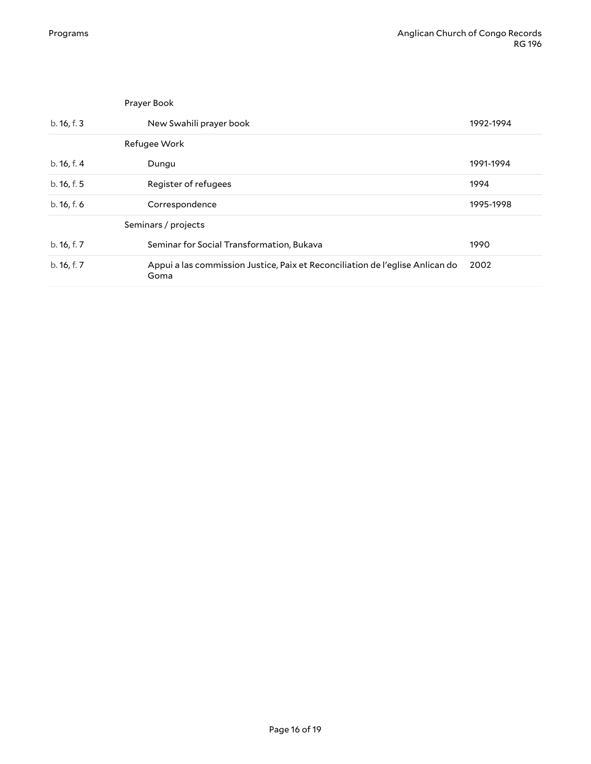<span id="page-15-2"></span><span id="page-15-1"></span><span id="page-15-0"></span>

| Prayer Book         |                                                                                       |           |
|---------------------|---------------------------------------------------------------------------------------|-----------|
| b. 16, f. 3         | New Swahili prayer book                                                               | 1992-1994 |
|                     | Refugee Work                                                                          |           |
| b. 16, f. 4         | Dungu                                                                                 | 1991-1994 |
| b. 16, f. 5         | Register of refugees                                                                  | 1994      |
| b. 16, f. 6         | Correspondence                                                                        | 1995-1998 |
| Seminars / projects |                                                                                       |           |
| b. 16, f. 7         | Seminar for Social Transformation, Bukava                                             | 1990      |
| b. 16, f. 7         | Appui a las commission Justice, Paix et Reconciliation de l'eglise Anlican do<br>Goma | 2002      |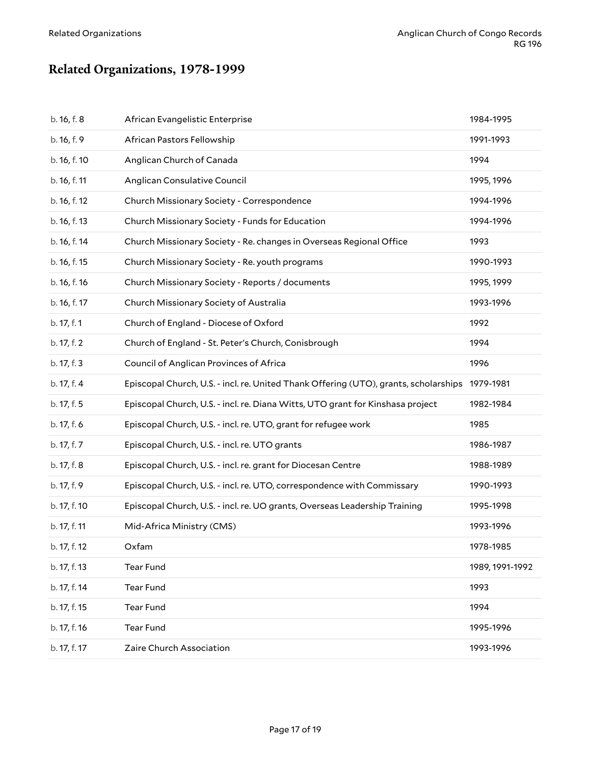# <span id="page-16-0"></span>**Related Organizations, 1978-1999**

| b. 16, f. 8  | African Evangelistic Enterprise                                                      | 1984-1995       |
|--------------|--------------------------------------------------------------------------------------|-----------------|
| b. 16, f. 9  | African Pastors Fellowship                                                           | 1991-1993       |
| b. 16, f. 10 | Anglican Church of Canada                                                            | 1994            |
| b. 16, f. 11 | Anglican Consulative Council                                                         | 1995, 1996      |
| b. 16, f. 12 | Church Missionary Society - Correspondence                                           | 1994-1996       |
| b. 16, f. 13 | Church Missionary Society - Funds for Education                                      | 1994-1996       |
| b. 16, f. 14 | Church Missionary Society - Re. changes in Overseas Regional Office                  | 1993            |
| b. 16, f. 15 | Church Missionary Society - Re. youth programs                                       | 1990-1993       |
| b. 16, f. 16 | Church Missionary Society - Reports / documents                                      | 1995, 1999      |
| b. 16, f. 17 | Church Missionary Society of Australia                                               | 1993-1996       |
| b. 17, f. 1  | Church of England - Diocese of Oxford                                                | 1992            |
| b. 17, f. 2  | Church of England - St. Peter's Church, Conisbrough                                  | 1994            |
| b. 17, f. 3  | Council of Anglican Provinces of Africa                                              | 1996            |
| b. 17, f. 4  | Episcopal Church, U.S. - incl. re. United Thank Offering (UTO), grants, scholarships | 1979-1981       |
| b. 17, f. 5  | Episcopal Church, U.S. - incl. re. Diana Witts, UTO grant for Kinshasa project       | 1982-1984       |
| b. 17, f. 6  | Episcopal Church, U.S. - incl. re. UTO, grant for refugee work                       | 1985            |
| b. 17, f. 7  | Episcopal Church, U.S. - incl. re. UTO grants                                        | 1986-1987       |
| b. 17, f. 8  | Episcopal Church, U.S. - incl. re. grant for Diocesan Centre                         | 1988-1989       |
| b. 17, f. 9  | Episcopal Church, U.S. - incl. re. UTO, correspondence with Commissary               | 1990-1993       |
| b. 17, f. 10 | Episcopal Church, U.S. - incl. re. UO grants, Overseas Leadership Training           | 1995-1998       |
| b. 17, f. 11 | Mid-Africa Ministry (CMS)                                                            | 1993-1996       |
| b. 17, f. 12 | Oxfam                                                                                | 1978-1985       |
| b. 17, f. 13 | Tear Fund                                                                            | 1989, 1991-1992 |
| b. 17, f. 14 | Tear Fund                                                                            | 1993            |
| b. 17, f. 15 | <b>Tear Fund</b>                                                                     | 1994            |
| b. 17, f. 16 | <b>Tear Fund</b>                                                                     | 1995-1996       |
| b. 17, f. 17 | Zaire Church Association                                                             | 1993-1996       |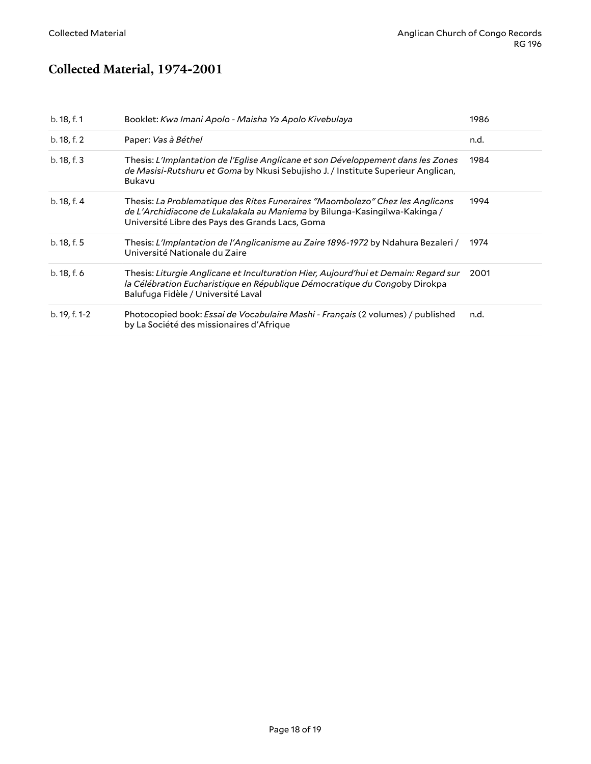### <span id="page-17-0"></span>**Collected Material, 1974-2001**

| b. 18, f. 1   | Booklet: Kwa Imani Apolo - Maisha Ya Apolo Kivebulaya                                                                                                                                                          | 1986 |
|---------------|----------------------------------------------------------------------------------------------------------------------------------------------------------------------------------------------------------------|------|
| b. 18, f. 2   | Paper: Vas à Béthel                                                                                                                                                                                            | n.d. |
| b. 18, f. 3   | Thesis: L'Implantation de l'Eglise Anglicane et son Développement dans les Zones<br>de Masisi-Rutshuru et Goma by Nkusi Sebujisho J. / Institute Superieur Anglican,<br>Bukavu                                 | 1984 |
| b. 18, f. 4   | Thesis: La Problematique des Rites Funeraires "Maombolezo" Chez les Anglicans<br>de L'Archidiacone de Lukalakala au Maniema by Bilunga-Kasingilwa-Kakinga /<br>Université Libre des Pays des Grands Lacs, Goma | 1994 |
| b. 18, f. 5   | Thesis: L'Implantation de l'Anglicanisme au Zaire 1896-1972 by Ndahura Bezaleri /<br>Université Nationale du Zaire                                                                                             | 1974 |
| b. 18, f. 6   | Thesis: Liturgie Anglicane et Inculturation Hier, Aujourd'hui et Demain: Regard sur<br>la Célébration Eucharistique en République Démocratique du Congoby Dirokpa<br>Balufuga Fidèle / Université Laval        | 2001 |
| b. 19, f. 1-2 | Photocopied book: Essai de Vocabulaire Mashi - Français (2 volumes) / published<br>by La Société des missionaires d'Afrique                                                                                    | n.d. |